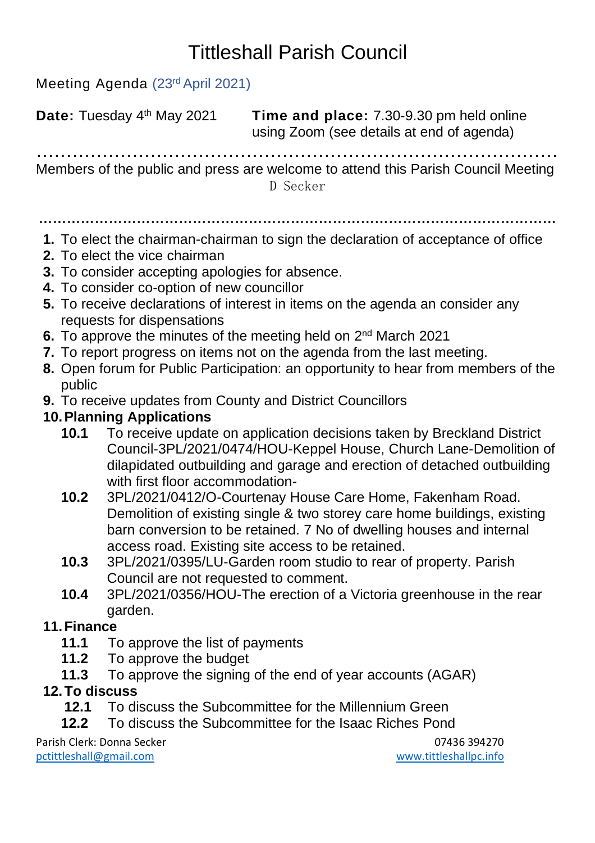# Tittleshall Parish Council

Meeting Agenda (23rd April 2021)

**Date:** Tuesday 4 **Time and place:** 7.30-9.30 pm held online using Zoom (see details at end of agenda)

…………………………………………………………………………… Members of the public and press are welcome to attend this Parish Council Meeting D Secker

…………………………………………………………………………………………………

- **1.** To elect the chairman-chairman to sign the declaration of acceptance of office
- **2.** To elect the vice chairman
- **3.** To consider accepting apologies for absence.
- **4.** To consider co-option of new councillor
- **5.** To receive declarations of interest in items on the agenda an consider any requests for dispensations
- **6.** To approve the minutes of the meeting held on 2<sup>nd</sup> March 2021
- **7.** To report progress on items not on the agenda from the last meeting.
- **8.** Open forum for Public Participation: an opportunity to hear from members of the public
- **9.** To receive updates from County and District Councillors

#### **10.Planning Applications**

- **10.1** To receive update on application decisions taken by Breckland District Council-3PL/2021/0474/HOU-Keppel House, Church Lane-Demolition of dilapidated outbuilding and garage and erection of detached outbuilding with first floor accommodation-
- **10.2** 3PL/2021/0412/O-Courtenay House Care Home, Fakenham Road. Demolition of existing single & two storey care home buildings, existing barn conversion to be retained. 7 No of dwelling houses and internal access road. Existing site access to be retained.
- **10.3** 3PL/2021/0395/LU-Garden room studio to rear of property. Parish Council are not requested to comment.
- **10.4** 3PL/2021/0356/HOU-The erection of a Victoria greenhouse in the rear garden.

#### **11.Finance**

- **11.1** To approve the list of payments
- **11.2** To approve the budget
- **11.3** To approve the signing of the end of year accounts (AGAR)

#### **12.To discuss**

- **12.1** To discuss the Subcommittee for the Millennium Green
- **12.2** To discuss the Subcommittee for the Isaac Riches Pond

Parish Clerk: Donna Secker 07436 394270 [pctittleshall@gmail.com](mailto:pctittleshall@gmail.com) [www.tittleshallpc.info](http://www.tittleshallpc.info/)